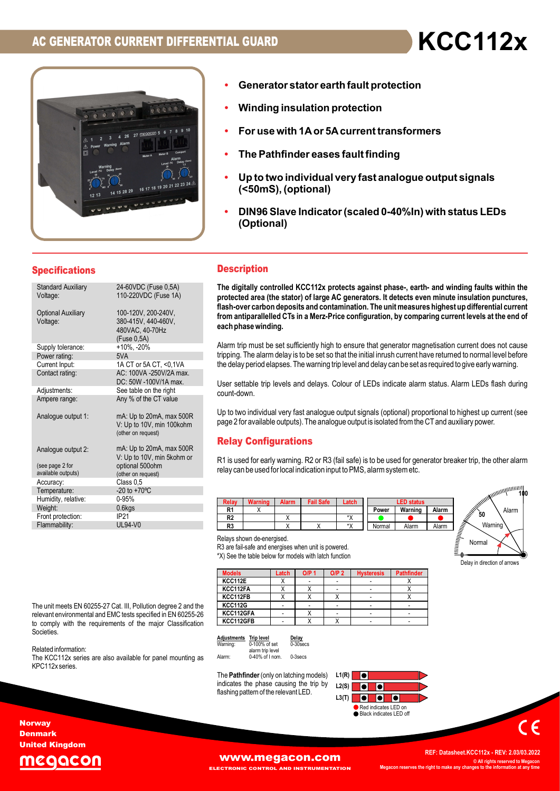

- Generator stator earth fault protection
- Winding insulation protection
- For use with 1A or 5A current transformers
- The Pathfinder eases fault finding
- (<50mS), (optional)
- **FIAL GUARD**<br>• Generator stator earth fault protection<br>• Winding insulation protection<br>• For use with 1A or 5A current transformers<br>• The Pathfinder eases fault finding<br>• Up to two individual very fast analogue output sign **FIAL GUARD**<br>• Generator stator earth fault protection<br>• Winding insulation protection<br>• For use with 1A or 5A current transformers<br>• The Pathfinder eases fault finding<br>• Up to two individual very fast analogue output sign (Optional)

### **Specifications**

|                                                                                                     | 4 26 27 mgocon 5<br><b>Warning Alarm</b><br>16 17 18 19 20                                                                                                                                                                                                     | For use with 1A or 5A current transformers<br>The Pathfinder eases fault finding<br>٠<br>Up to two individual very fast analogue output signals<br>(<50mS), (optional)<br>DIN96 Slave Indicator (scaled 0-40%In) with status LEDs<br>$\bullet$<br>(Optional)                                                                                                                                                                                                                                                               |
|-----------------------------------------------------------------------------------------------------|----------------------------------------------------------------------------------------------------------------------------------------------------------------------------------------------------------------------------------------------------------------|----------------------------------------------------------------------------------------------------------------------------------------------------------------------------------------------------------------------------------------------------------------------------------------------------------------------------------------------------------------------------------------------------------------------------------------------------------------------------------------------------------------------------|
| <b>Specifications</b>                                                                               |                                                                                                                                                                                                                                                                | <b>Description</b>                                                                                                                                                                                                                                                                                                                                                                                                                                                                                                         |
| <b>Standard Auxiliary</b><br>Voltage:<br><b>Optional Auxiliary</b><br>Voltage:<br>Supply tolerance: | 24-60VDC (Fuse 0,5A)<br>110-220VDC (Fuse 1A)<br>100-120V, 200-240V,<br>380-415V, 440-460V,<br>480VAC, 40-70Hz<br>(Fuse 0, 5A)<br>$+10\%$ , $-20\%$                                                                                                             | The digitally controlled KCC112x protects against phase-, earth- and winding faults with<br>protected area (the stator) of large AC generators. It detects even minute insulation pund<br>flash-over carbon deposits and contamination. The unit measures highest up differential c<br>from antiparallelled CTs in a Merz-Price configuration, by comparing current levels at the<br>each phase winding.<br>Alarm trip must be set sufficiently high to ensure that generator magnetisation current does not               |
| Power rating:<br>Current Input:<br>Contact rating:<br>Adjustments:<br>Ampere range:                 | 5VA<br>1A CT or 5A CT, <0,1VA<br>AC: 100VA -250V/2A max.<br>DC: 50W -100V/1A max.<br>See table on the right<br>Any % of the CT value                                                                                                                           | tripping. The alarm delay is to be set so that the initial inrush current have returned to normal level<br>the delay period elapses. The warning trip level and delay can be set as required to give early warn<br>User settable trip levels and delays. Colour of LEDs indicate alarm status. Alarm LEDs flash<br>count-down.                                                                                                                                                                                             |
| Analogue output 1:<br>Analogue output 2:                                                            | mA: Up to 20mA, max 500R<br>V: Up to 10V, min 100kohm<br>(other on request)<br>mA: Up to 20mA, max 500R                                                                                                                                                        | Up to two individual very fast analogue output signals (optional) proportional to highest up curre<br>page 2 for available outputs). The analogue output is isolated from the CT and auxiliary power.<br><b>Relay Configurations</b>                                                                                                                                                                                                                                                                                       |
| (see page 2 for<br>available outputs)<br>Accuracy:<br>Temperature:<br>Humidity, relative:           | V: Up to 10V, min 5kohm or<br>optional 500ohm<br>(other on request)<br>Class 0,5<br>$-20$ to $+70^{\circ}$ C<br>$0 - 95%$                                                                                                                                      | R1 is used for early warning. R2 or R3 (fail safe) is to be used for generator breaker trip, the other<br>relay can be used for local indication input to PMS, alarm system etc.<br>ACCORDING THE RESIDENCE OF THE RESIDENCE OF THE RESIDENCE OF THE RESIDENCE OF THE RESIDENCE OF THE RESIDENCE O<br><b>Warning</b><br><b>Alarm</b><br><b>Fail Safe</b><br>Latch<br><b>LED status</b><br>Relay                                                                                                                            |
| Weight:<br>Front protection:<br>Flammability:                                                       | $0.6$ kgs<br>IP21<br><b>UL94-V0</b>                                                                                                                                                                                                                            | R <sub>1</sub><br>X<br>Power<br>Warning<br>Alarm<br>R <sub>2</sub><br>*X<br>Χ<br>$\overline{X}$<br>*X<br>R3<br>Χ<br>Normal<br>Alarm<br>Alarm                                                                                                                                                                                                                                                                                                                                                                               |
|                                                                                                     |                                                                                                                                                                                                                                                                | Relays shown de-energised.<br>R3 are fail-safe and energises when unit is powered.<br>*X) See the table below for models with latch function<br>Delay in direction of a                                                                                                                                                                                                                                                                                                                                                    |
|                                                                                                     |                                                                                                                                                                                                                                                                | <b>Models</b><br><b>O/P 1</b><br>O/P <sub>2</sub><br><b>Hysteresis</b><br><b>Pathfinder</b><br>Latch<br>KCC112E<br>Χ<br>Χ<br>KCC112FA<br>Χ<br>X<br>Χ<br>$\overline{\phantom{a}}$<br>$\overline{\phantom{a}}$<br>KCC112FB<br>Χ<br>X<br>Χ<br>Χ<br>$\sim$                                                                                                                                                                                                                                                                     |
| Societies.<br>Related information:<br>KPC112x series.                                               | The unit meets EN 60255-27 Cat. III, Pollution degree 2 and the<br>relevant environmental and EMC tests specified in EN 60255-26<br>to comply with the requirements of the major Classification<br>The KCC112x series are also available for panel mounting as | <b>KCC112G</b><br>$\overline{\phantom{a}}$<br>$\overline{\phantom{a}}$<br>$\overline{\phantom{a}}$<br>$\overline{\phantom{a}}$<br>KCC112GFA<br>Х<br>$\overline{\phantom{a}}$<br>$\overline{a}$<br>$\overline{\phantom{a}}$<br>$\overline{\phantom{a}}$<br>KCC112GFB<br>Χ<br>Χ<br>$\sim$<br>$\blacksquare$<br>Adjustments Trip level<br>Delay<br>0-100% of set<br>0-30secs<br>Warning:<br>alarm trip level<br>0-40% of I nom.<br>0-3secs<br>Alarm:<br>The <b>Pathfinder</b> (only on latching models)<br>L1(R)<br>$\bullet$ |
| rwav                                                                                                |                                                                                                                                                                                                                                                                | indicates the phase causing the trip by<br>L2(S)<br>$\bullet$<br>flashing pattern of the relevant LED.<br>$\bullet$<br>L3(T)<br>$\bullet$<br>Red indicates LED on<br>Black indicates LED off                                                                                                                                                                                                                                                                                                                               |

### **Description**

The digitally controlled KCC112x protects against phase-, earth- and winding faults within the protected area (the stator) of large AC generators. It detects even minute insulation punctures, For use with 1A or 5A current transformers<br>
Flave light and the parameteric contamination<br>
The Pathfinder eases fault finding<br>
(Up to two individual very fast analogue output signals<br>
(<50mS), (optional)<br>
DIN96 Slave Indic from antiparallelled CTs in a Merz-Price configuration, by comparing current levels at the end of each phase winding. **escription**<br>
Relay Warning Alarm Fail Safe Latch of the state of the state of the state of the state of of drage AC generators. It detects even minute insulation punctures,<br>
State-boot carted from deposits and containmati **Example 10**<br> **Example 10**<br> **Example 10**<br> **Example 10**<br> **Example 10**<br> **Example 10**<br> **Example 10**<br> **Example 10**<br> **Example 10**<br> **Example 10**<br> **Example 10**<br> **Example 10**<br> **Example 10**<br> **Example 10**<br> **Example 10**<br> **Example 10** e digitally controlled KCC112x protects against phase, earth- and winding faults within the<br>stected area (the stator) of large AC generators. It detects even minute insulation punctures,<br>sh-over carbon deposits and contami Se-, earth- and winding faults within the<br>tects even minute insulation punctures,<br>measures highest up differential current<br>py comparing current levels at the end of<br>rator magnetisation current does not cause<br>current have r **Example 18 Alarm**<br> **Power Warning Alarm**<br> **Example 18 Alarm**<br> **Example 18 Alarm Alarm Alarm Alarm Alarm Alarm Alarm Alarm Alarm Alarm Alarm Alarm Alarm Alarm Alarm Alarm Alarm Alarm Alarm Alarm Alarm Alarm Alarm Alarm Ala** mal Alarm Alarm Alarm Collection of The Alarm Res. It detects even minute insulation punctures,<br>The unit measures highest up differential current<br>ation, by comparing current levels at the end of<br>at generator magnetisation

Alarm trip must be set sufficiently high to ensure that generator magnetisation current does not cause tripping. The alarm delay is to be set so that the initial inrush current have returned to normal level before the delay period elapses. The warning trip level and delay can be set as required to give early warning.

User settable trip levels and delays. Colour of LEDs indicate alarm status. Alarm LEDs flash during count-down.

Up to two individual very fast analogue output signals (optional) proportional to highest up current (see page 2 for available outputs). The analogue output is isolated from the CT and auxiliary power.

## Relay Configurations

R1 is used for early warning. R2 or R3 (fail safe) is to be used for generator breaker trip, the other alarm relay can be used for local indication input to PMS, alarm system etc.



| <b>Models</b>  | Latch | O/P <sub>1</sub> | O/P <sub>2</sub> | <b>Hysteresis</b> | <b>Pathfinder</b> |
|----------------|-------|------------------|------------------|-------------------|-------------------|
| <b>KCC112E</b> |       |                  |                  |                   |                   |
| KCC112FA       |       |                  |                  |                   |                   |
| KCC112FB       |       |                  | л                |                   |                   |
| <b>KCC112G</b> |       |                  |                  |                   |                   |
| KCC112GFA      |       |                  |                  |                   |                   |
| KCC112GFB      |       |                  |                  |                   |                   |



KCC112x

Delay in direction of arrows

# **Adjustments Trip level Delay**<br>Warning: 0-100% of set 0-30secs alarm trip level<br>Alarm: 10-40% of I nom. 10-3secs



**Norway** Denmark United Kingdom



.<br>EXPERTED INSTRUMENTATION

**WWW.MEGACON.COM**<br> **EXECTRONIC CONTROL AND INSTRUMENTATION**<br> **ECTRONIC CONTROL AND INSTRUMENTATION** Megacon reserves the right to make any changes to the information at any time © All rights reserved to Megacor<br>noes to the information at any time